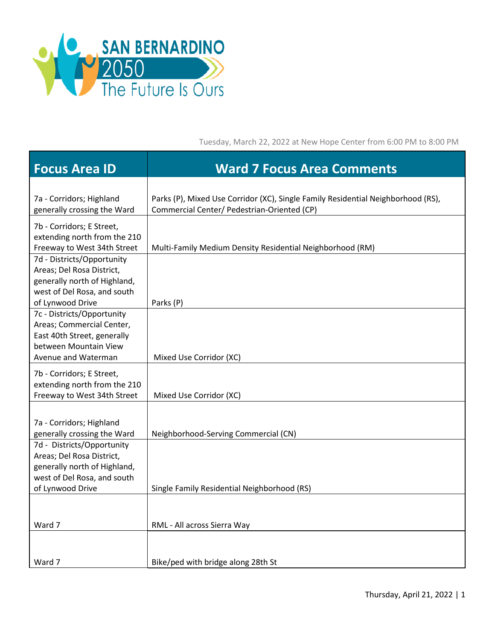

Tuesday, March 22, 2022 at New Hope Center from 6:00 PM to 8:00 PM

| <b>Focus Area ID</b>                                                                                                                       | <b>Ward 7 Focus Area Comments</b>                                                                                               |
|--------------------------------------------------------------------------------------------------------------------------------------------|---------------------------------------------------------------------------------------------------------------------------------|
| 7a - Corridors; Highland<br>generally crossing the Ward                                                                                    | Parks (P), Mixed Use Corridor (XC), Single Family Residential Neighborhood (RS),<br>Commercial Center/ Pedestrian-Oriented (CP) |
| 7b - Corridors; E Street,<br>extending north from the 210<br>Freeway to West 34th Street                                                   | Multi-Family Medium Density Residential Neighborhood (RM)                                                                       |
| 7d - Districts/Opportunity<br>Areas; Del Rosa District,<br>generally north of Highland,<br>west of Del Rosa, and south<br>of Lynwood Drive | Parks (P)                                                                                                                       |
| 7c - Districts/Opportunity<br>Areas; Commercial Center,<br>East 40th Street, generally<br>between Mountain View<br>Avenue and Waterman     | Mixed Use Corridor (XC)                                                                                                         |
| 7b - Corridors; E Street,<br>extending north from the 210<br>Freeway to West 34th Street                                                   | Mixed Use Corridor (XC)                                                                                                         |
| 7a - Corridors; Highland<br>generally crossing the Ward                                                                                    | Neighborhood-Serving Commercial (CN)                                                                                            |
| 7d - Districts/Opportunity<br>Areas; Del Rosa District,<br>generally north of Highland,<br>west of Del Rosa, and south<br>of Lynwood Drive | Single Family Residential Neighborhood (RS)                                                                                     |
| Ward 7                                                                                                                                     | RML - All across Sierra Way                                                                                                     |
| Ward 7                                                                                                                                     | Bike/ped with bridge along 28th St                                                                                              |